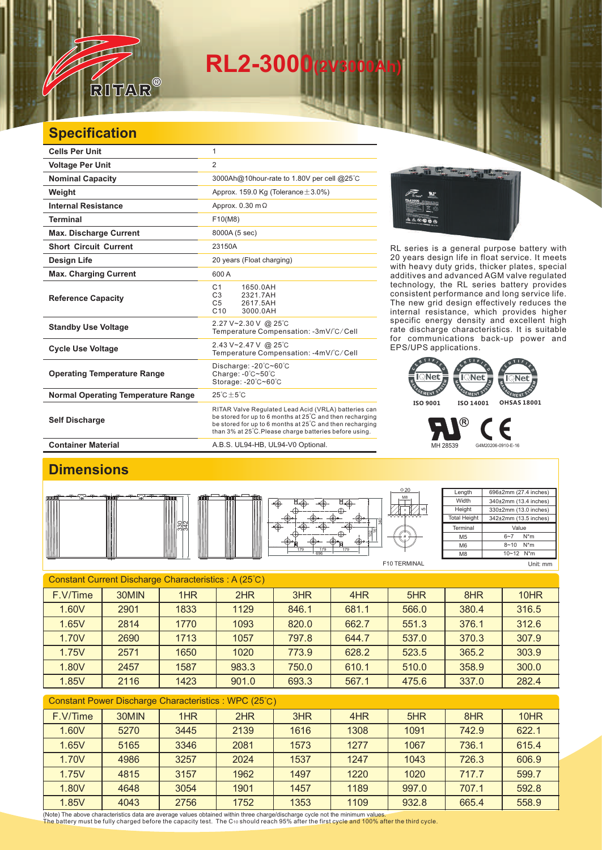# **RL2-3000(2V3000Ah)**

### **Specification**

RITAR

 $^{\circledR}$ 

| <b>Cells Per Unit</b>                     | 1                                                                                                                                                                                                                                      |  |  |  |
|-------------------------------------------|----------------------------------------------------------------------------------------------------------------------------------------------------------------------------------------------------------------------------------------|--|--|--|
| <b>Voltage Per Unit</b>                   | 2                                                                                                                                                                                                                                      |  |  |  |
| <b>Nominal Capacity</b>                   | 3000Ah@10hour-rate to 1.80V per cell @25°C                                                                                                                                                                                             |  |  |  |
| Weight                                    | Approx. 159.0 Kg (Tolerance $\pm$ 3.0%)                                                                                                                                                                                                |  |  |  |
| <b>Internal Resistance</b>                | Approx. $0.30 \text{ m}\Omega$                                                                                                                                                                                                         |  |  |  |
| <b>Terminal</b>                           | F10(M8)                                                                                                                                                                                                                                |  |  |  |
| <b>Max. Discharge Current</b>             | 8000A (5 sec)                                                                                                                                                                                                                          |  |  |  |
| <b>Short Circuit Current</b>              | 23150A                                                                                                                                                                                                                                 |  |  |  |
| Design Life                               | 20 years (Float charging)                                                                                                                                                                                                              |  |  |  |
| <b>Max. Charging Current</b>              | 600 A                                                                                                                                                                                                                                  |  |  |  |
| <b>Reference Capacity</b>                 | C <sub>1</sub><br>1650.0AH<br>C3<br>2321.7AH<br>C <sub>5</sub><br>2617.5AH<br>C10<br>3000.0AH                                                                                                                                          |  |  |  |
| <b>Standby Use Voltage</b>                | 2.27 V~2.30 V @ 25°C<br>Temperature Compensation: -3mV/°C/Cell                                                                                                                                                                         |  |  |  |
| <b>Cycle Use Voltage</b>                  | 2.43 V~2.47 V @ 25°C<br>Temperature Compensation: -4mV/°C/Cell                                                                                                                                                                         |  |  |  |
| <b>Operating Temperature Range</b>        | Discharge: $-20^{\circ}$ C $-60^{\circ}$ C<br>Charge: $-0^\circ$ C $-50^\circ$ C<br>Storage: -20°C~60°C                                                                                                                                |  |  |  |
| <b>Normal Operating Temperature Range</b> | $25^{\circ}$ C $\pm 5^{\circ}$ C                                                                                                                                                                                                       |  |  |  |
| <b>Self Discharge</b>                     | RITAR Valve Regulated Lead Acid (VRLA) batteries can<br>be stored for up to 6 months at 25°C and then recharging<br>be stored for up to 6 months at 25°C and then recharging<br>than 3% at 25°C. Please charge batteries before using. |  |  |  |
| <b>Container Material</b>                 | A.B.S. UL94-HB, UL94-V0 Optional.                                                                                                                                                                                                      |  |  |  |



RL series is a general purpose battery with 20 years design life in float service. It meets with heavy duty grids, thicker plates, special additives and advanced AGM valve regulated technology, the RL series battery provides consistent performance and long service life. The new grid design effectively reduces the internal resistance, which provides higher specific energy density and excellent high rate discharge characteristics. It is suitable for communications back-up power and EPS/UPS applications.



MH 28539 G4M20206-0910-E-16

#### **Dimensions**



| ۰ | Ш<br>ıш | M LI I<br>ш | ffilm, | œ<br>囲<br>179 |
|---|---------|-------------|--------|---------------|
|   |         |             |        | 69            |



| Length              | 696±2mm (27.4 inches) |  |  |  |
|---------------------|-----------------------|--|--|--|
| Width               | 340±2mm (13.4 inches) |  |  |  |
| Height              | 330±2mm (13.0 inches) |  |  |  |
| <b>Total Height</b> | 342±2mm (13.5 inches) |  |  |  |
|                     |                       |  |  |  |
| Terminal            | Value                 |  |  |  |
| M5                  | $N^*m$<br>$6 - 7$     |  |  |  |
| M6                  | $N^*m$<br>$8 - 10$    |  |  |  |

F

F10 TERMINAL

Unit: mm

| Constant Current Discharge Characteristics : A (25°C) |       |      |       |       |       |       |       |       |
|-------------------------------------------------------|-------|------|-------|-------|-------|-------|-------|-------|
| F.V/Time                                              | 30MIN | 1HR  | 2HR   | 3HR   | 4HR   | 5HR   | 8HR   | 10HR  |
| 1.60V                                                 | 2901  | 1833 | 1129  | 846.1 | 681.1 | 566.0 | 380.4 | 316.5 |
| 1.65V                                                 | 2814  | 1770 | 1093  | 820.0 | 662.7 | 551.3 | 376.1 | 312.6 |
| 1.70V                                                 | 2690  | 1713 | 1057  | 797.8 | 644.7 | 537.0 | 370.3 | 307.9 |
| 1.75V                                                 | 2571  | 1650 | 1020  | 773.9 | 628.2 | 523.5 | 365.2 | 303.9 |
| 1.80V                                                 | 2457  | 1587 | 983.3 | 750.0 | 610.1 | 510.0 | 358.9 | 300.0 |
| 1.85V                                                 | 2116  | 1423 | 901.0 | 693.3 | 567.1 | 475.6 | 337.0 | 282.4 |

#### Constant Power Discharge Characteristics : WPC (25℃)

| F.V/Time | 30MIN | 1HR  | 2HR  | 3HR  | 4HR  | 5HR   | 8HR   | 10HR  |
|----------|-------|------|------|------|------|-------|-------|-------|
| 1.60V    | 5270  | 3445 | 2139 | 1616 | 1308 | 1091  | 742.9 | 622.1 |
| 1.65V    | 5165  | 3346 | 2081 | 1573 | 1277 | 1067  | 736.1 | 615.4 |
| 1.70V    | 4986  | 3257 | 2024 | 1537 | 1247 | 1043  | 726.3 | 606.9 |
| 1.75V    | 4815  | 3157 | 1962 | 1497 | 1220 | 1020  | 717.7 | 599.7 |
| 1.80V    | 4648  | 3054 | 1901 | 1457 | 1189 | 997.0 | 707.1 | 592.8 |
| 1.85V    | 4043  | 2756 | 1752 | 1353 | 1109 | 932.8 | 665.4 | 558.9 |

(Note) The above characteristics data are average values obtained within three charge/discharge cycle not the minimum values.<br>The battery must be fully charged before the capacity test. The C10 should reach 95% after the